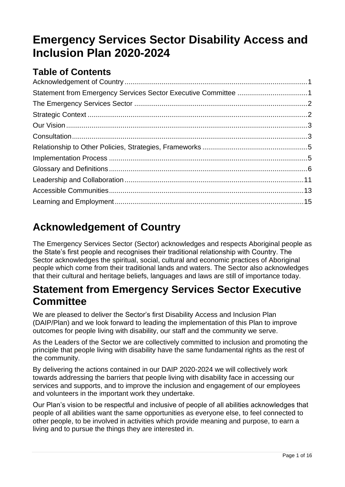# **Emergency Services Sector Disability Access and Inclusion Plan 2020-2024**

# **Table of Contents**

# <span id="page-0-0"></span>**Acknowledgement of Country**

The Emergency Services Sector (Sector) acknowledges and respects Aboriginal people as the State's first people and recognises their traditional relationship with Country. The Sector acknowledges the spiritual, social, cultural and economic practices of Aboriginal people which come from their traditional lands and waters. The Sector also acknowledges that their cultural and heritage beliefs, languages and laws are still of importance today.

# <span id="page-0-1"></span>**Statement from Emergency Services Sector Executive Committee**

We are pleased to deliver the Sector's first Disability Access and Inclusion Plan (DAIP/Plan) and we look forward to leading the implementation of this Plan to improve outcomes for people living with disability, our staff and the community we serve.

As the Leaders of the Sector we are collectively committed to inclusion and promoting the principle that people living with disability have the same fundamental rights as the rest of the community.

By delivering the actions contained in our DAIP 2020-2024 we will collectively work towards addressing the barriers that people living with disability face in accessing our services and supports, and to improve the inclusion and engagement of our employees and volunteers in the important work they undertake.

Our Plan's vision to be respectful and inclusive of people of all abilities acknowledges that people of all abilities want the same opportunities as everyone else, to feel connected to other people, to be involved in activities which provide meaning and purpose, to earn a living and to pursue the things they are interested in.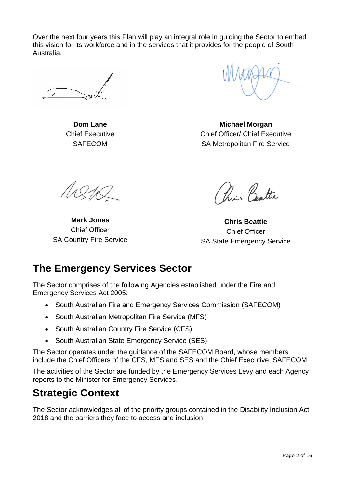Over the next four years this Plan will play an integral role in guiding the Sector to embed this vision for its workforce and in the services that it provides for the people of South Australia.

**Dom Lane** Chief Executive **SAFECOM** 

**Michael Morgan** Chief Officer/ Chief Executive SA Metropolitan Fire Service

A1810

**Mark Jones** Chief Officer SA Country Fire Service

Prince Battie

**Chris Beattie** Chief Officer SA State Emergency Service

# <span id="page-1-0"></span>**The Emergency Services Sector**

The Sector comprises of the following Agencies established under the Fire and Emergency Services Act 2005:

- South Australian Fire and Emergency Services Commission (SAFECOM)
- South Australian Metropolitan Fire Service (MFS)
- South Australian Country Fire Service (CFS)
- South Australian State Emergency Service (SES)

The Sector operates under the guidance of the [SAFECOM Board,](https://www.safecom.sa.gov.au/public/redirect.jsp?id=1030) whose members include the Chief Officers of the CFS, MFS and SES and the Chief Executive, SAFECOM.

The activities of the Sector are funded by the [Emergency Services Levy](https://www.safecom.sa.gov.au/public/redirect.jsp?id=3305) and each Agency reports to the [Minister for Emergency Services.](https://www.safecom.sa.gov.au/public/redirect.jsp?id=1025)

# <span id="page-1-1"></span>**Strategic Context**

The Sector acknowledges all of the priority groups contained in the Disability Inclusion Act 2018 and the barriers they face to access and inclusion.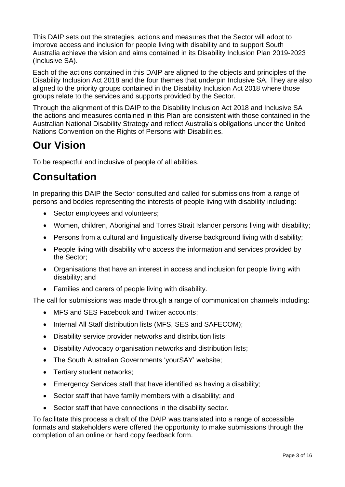This DAIP sets out the strategies, actions and measures that the Sector will adopt to improve access and inclusion for people living with disability and to support South Australia achieve the vision and aims contained in its Disability Inclusion Plan 2019-2023 (Inclusive SA).

Each of the actions contained in this DAIP are aligned to the objects and principles of the Disability Inclusion Act 2018 and the four themes that underpin Inclusive SA. They are also aligned to the priority groups contained in the Disability Inclusion Act 2018 where those groups relate to the services and supports provided by the Sector.

Through the alignment of this DAIP to the Disability Inclusion Act 2018 and Inclusive SA the actions and measures contained in this Plan are consistent with those contained in the Australian [National Disability Strategy](http://www.dss.gov.au/sites/default/files/documents/05_2012/national_disability_strategy_2010_2020.pdf) and reflect Australia's obligations under the United Nations Convention on the Rights of Persons with Disabilities.

# <span id="page-2-0"></span>**Our Vision**

To be respectful and inclusive of people of all abilities.

# <span id="page-2-1"></span>**Consultation**

In preparing this DAIP the Sector consulted and called for submissions from a range of persons and bodies representing the interests of people living with disability including:

- Sector employees and volunteers;
- Women, children, Aboriginal and Torres Strait Islander persons living with disability;
- Persons from a cultural and linguistically diverse background living with disability;
- People living with disability who access the information and services provided by the Sector;
- Organisations that have an interest in access and inclusion for people living with disability; and
- Families and carers of people living with disability.

The call for submissions was made through a range of communication channels including:

- MFS and SES Facebook and Twitter accounts;
- Internal All Staff distribution lists (MFS, SES and SAFECOM);
- Disability service provider networks and distribution lists;
- Disability Advocacy organisation networks and distribution lists;
- The South Australian Governments 'yourSAY' website;
- Tertiary student networks;
- Emergency Services staff that have identified as having a disability;
- Sector staff that have family members with a disability; and
- Sector staff that have connections in the disability sector.

To facilitate this process a draft of the DAIP was translated into a range of accessible formats and stakeholders were offered the opportunity to make submissions through the completion of an online or hard copy feedback form.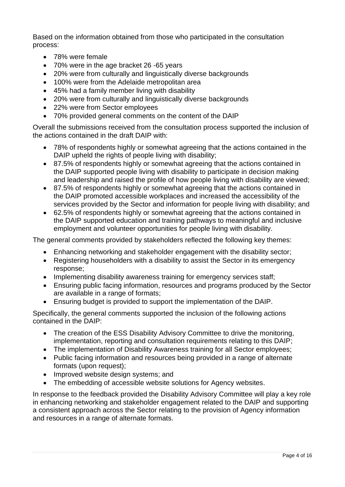Based on the information obtained from those who participated in the consultation process:

- 78% were female
- 70% were in the age bracket 26 -65 years
- 20% were from culturally and linguistically diverse backgrounds
- 100% were from the Adelaide metropolitan area
- 45% had a family member living with disability
- 20% were from culturally and linguistically diverse backgrounds
- 22% were from Sector employees
- 70% provided general comments on the content of the DAIP

Overall the submissions received from the consultation process supported the inclusion of the actions contained in the draft DAIP with:

- 78% of respondents highly or somewhat agreeing that the actions contained in the DAIP upheld the rights of people living with disability;
- 87.5% of respondents highly or somewhat agreeing that the actions contained in the DAIP supported people living with disability to participate in decision making and leadership and raised the profile of how people living with disability are viewed;
- 87.5% of respondents highly or somewhat agreeing that the actions contained in the DAIP promoted accessible workplaces and increased the accessibility of the services provided by the Sector and information for people living with disability; and
- 62.5% of respondents highly or somewhat agreeing that the actions contained in the DAIP supported education and training pathways to meaningful and inclusive employment and volunteer opportunities for people living with disability.

The general comments provided by stakeholders reflected the following key themes:

- Enhancing networking and stakeholder engagement with the disability sector;
- Registering householders with a disability to assist the Sector in its emergency response;
- Implementing disability awareness training for emergency services staff;
- Ensuring public facing information, resources and programs produced by the Sector are available in a range of formats;
- Ensuring budget is provided to support the implementation of the DAIP.

Specifically, the general comments supported the inclusion of the following actions contained in the DAIP:

- The creation of the ESS Disability Advisory Committee to drive the monitoring, implementation, reporting and consultation requirements relating to this DAIP;
- The implementation of Disability Awareness training for all Sector employees;
- Public facing information and resources being provided in a range of alternate formats (upon request);
- Improved website design systems; and
- The embedding of accessible website solutions for Agency websites.

In response to the feedback provided the Disability Advisory Committee will play a key role in enhancing networking and stakeholder engagement related to the DAIP and supporting a consistent approach across the Sector relating to the provision of Agency information and resources in a range of alternate formats.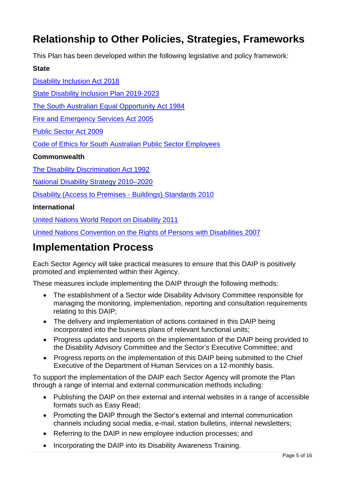# <span id="page-4-0"></span>**Relationship to Other Policies, Strategies, Frameworks**

This Plan has been developed within the following legislative and policy framework:

#### **State**

[Disability Inclusion Act 2018](https://www.legislation.sa.gov.au/LZ/C/A/DISABILITY%20INCLUSION%20ACT%202018/CURRENT/2018.1.AUTH.PDF) [State Disability Inclusion Plan 2019-2023](https://dhs.sa.gov.au/services/disability/inclusive-sa#:~:text=Inclusive%20SA%20was%20launched%20on,first%20State%20Disability%20Inclusion%20Plan.&text=The%20State%20Disability%20Inclusion%20Plan,by%20people%20living%20with%20disability.) [The South Australian Equal Opportunity Act 1984](https://www.legislation.sa.gov.au/lz/c/a/equal%20opportunity%20act%201984.aspx) [Fire and Emergency Services Act 2005](https://www.legislation.sa.gov.au/LZ/C/A/Fire%20and%20Emergency%20Services%20Act%202005.aspx) [Public Sector Act 2009](https://www.legislation.sa.gov.au/LZ/C/A/PUBLIC%20SECTOR%20ACT%202009.aspx)  [Code of Ethics for South Australian Public Sector Employees](https://www.publicsector.sa.gov.au/hr-and-policy-support/ethical-codes/code-of-ethics) **Commonwealth** [The Disability Discrimination Act 1992](https://www.legislation.gov.au/Details/C2016C00763)  [National Disability Strategy 2010–2020](https://www.dss.gov.au/our-responsibilities/disability-and-carers/publications-articles/policy-research/national-disability-strategy-2010-2020) [Disability \(Access to Premises -](https://www.legislation.gov.au/Details/F2010L00668) Buildings) Standards 2010

#### **International**

[United Nations World Report on Disability 2011](https://www.who.int/disabilities/world_report/2011/report.pdf)

[United Nations Convention on the Rights of Persons with Disabilities 2007](https://www.un.org/disabilities/documents/convention/convoptprot-e.pdf)

# <span id="page-4-1"></span>**Implementation Process**

Each Sector Agency will take practical measures to ensure that this DAIP is positively promoted and implemented within their Agency.

These measures include implementing the DAIP through the following methods:

- The establishment of a Sector wide Disability Advisory Committee responsible for managing the monitoring, implementation, reporting and consultation requirements relating to this DAIP;
- The delivery and implementation of actions contained in this DAIP being incorporated into the business plans of relevant functional units;
- Progress updates and reports on the implementation of the DAIP being provided to the Disability Advisory Committee and the Sector's Executive Committee; and
- Progress reports on the implementation of this DAIP being submitted to the Chief Executive of the Department of Human Services on a 12-monthly basis.

To support the implementation of the DAIP each Sector Agency will promote the Plan through a range of internal and external communication methods including:

- Publishing the DAIP on their external and internal websites in a range of accessible formats such as Easy Read;
- Promoting the DAIP through the Sector's external and internal communication channels including social media, e-mail, station bulletins, internal newsletters;
- Referring to the DAIP in new employee induction processes; and
- Incorporating the DAIP into its Disability Awareness Training.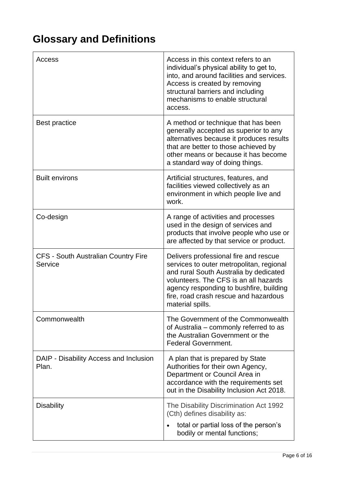# <span id="page-5-0"></span>**Glossary and Definitions**

| Access                                                | Access in this context refers to an<br>individual's physical ability to get to,<br>into, and around facilities and services.<br>Access is created by removing<br>structural barriers and including<br>mechanisms to enable structural<br>access.                             |
|-------------------------------------------------------|------------------------------------------------------------------------------------------------------------------------------------------------------------------------------------------------------------------------------------------------------------------------------|
| <b>Best practice</b>                                  | A method or technique that has been<br>generally accepted as superior to any<br>alternatives because it produces results<br>that are better to those achieved by<br>other means or because it has become<br>a standard way of doing things.                                  |
| <b>Built environs</b>                                 | Artificial structures, features, and<br>facilities viewed collectively as an<br>environment in which people live and<br>work.                                                                                                                                                |
| Co-design                                             | A range of activities and processes<br>used in the design of services and<br>products that involve people who use or<br>are affected by that service or product.                                                                                                             |
| <b>CFS - South Australian Country Fire</b><br>Service | Delivers professional fire and rescue<br>services to outer metropolitan, regional<br>and rural South Australia by dedicated<br>volunteers. The CFS is an all hazards<br>agency responding to bushfire, building<br>fire, road crash rescue and hazardous<br>material spills. |
| Commonwealth                                          | The Government of the Commonwealth<br>of Australia - commonly referred to as<br>the Australian Government or the<br><b>Federal Government.</b>                                                                                                                               |
| DAIP - Disability Access and Inclusion<br>Plan.       | A plan that is prepared by State<br>Authorities for their own Agency,<br>Department or Council Area in<br>accordance with the requirements set<br>out in the Disability Inclusion Act 2018.                                                                                  |
| <b>Disability</b>                                     | The Disability Discrimination Act 1992<br>(Cth) defines disability as:<br>total or partial loss of the person's<br>bodily or mental functions;                                                                                                                               |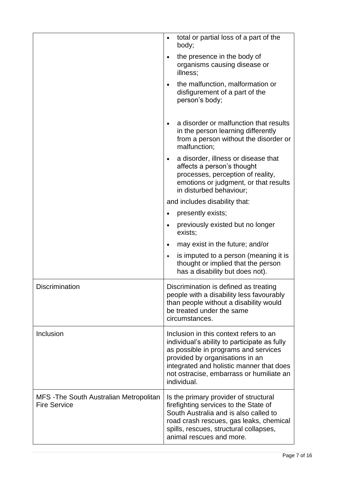|                                                                | total or partial loss of a part of the<br>$\bullet$<br>body;                                                                                                                                                                                                             |
|----------------------------------------------------------------|--------------------------------------------------------------------------------------------------------------------------------------------------------------------------------------------------------------------------------------------------------------------------|
|                                                                | the presence in the body of<br>$\bullet$<br>organisms causing disease or<br>illness;                                                                                                                                                                                     |
|                                                                | the malfunction, malformation or<br>disfigurement of a part of the<br>person's body;                                                                                                                                                                                     |
|                                                                | a disorder or malfunction that results<br>in the person learning differently<br>from a person without the disorder or<br>malfunction;                                                                                                                                    |
|                                                                | a disorder, illness or disease that<br>$\bullet$<br>affects a person's thought<br>processes, perception of reality,<br>emotions or judgment, or that results<br>in disturbed behaviour;                                                                                  |
|                                                                | and includes disability that:                                                                                                                                                                                                                                            |
|                                                                | presently exists;<br>$\bullet$                                                                                                                                                                                                                                           |
|                                                                | previously existed but no longer<br>$\bullet$<br>exists;                                                                                                                                                                                                                 |
|                                                                | may exist in the future; and/or<br>$\bullet$                                                                                                                                                                                                                             |
|                                                                | is imputed to a person (meaning it is<br>$\bullet$<br>thought or implied that the person<br>has a disability but does not).                                                                                                                                              |
| <b>Discrimination</b>                                          | Discrimination is defined as treating<br>people with a disability less favourably<br>than people without a disability would<br>be treated under the same<br>circumstances.                                                                                               |
| Inclusion                                                      | Inclusion in this context refers to an<br>individual's ability to participate as fully<br>as possible in programs and services<br>provided by organisations in an<br>integrated and holistic manner that does<br>not ostracise, embarrass or humiliate an<br>individual. |
| MFS - The South Australian Metropolitan<br><b>Fire Service</b> | Is the primary provider of structural<br>firefighting services to the State of<br>South Australia and is also called to<br>road crash rescues, gas leaks, chemical<br>spills, rescues, structural collapses,<br>animal rescues and more.                                 |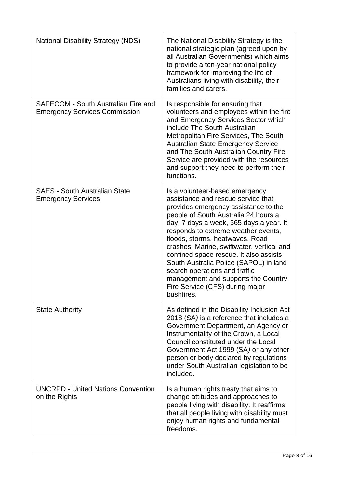| <b>National Disability Strategy (NDS)</b>                                   | The National Disability Strategy is the<br>national strategic plan (agreed upon by<br>all Australian Governments) which aims<br>to provide a ten-year national policy<br>framework for improving the life of<br>Australians living with disability, their<br>families and carers.                                                                                                                                                                                                                                                   |
|-----------------------------------------------------------------------------|-------------------------------------------------------------------------------------------------------------------------------------------------------------------------------------------------------------------------------------------------------------------------------------------------------------------------------------------------------------------------------------------------------------------------------------------------------------------------------------------------------------------------------------|
| SAFECOM - South Australian Fire and<br><b>Emergency Services Commission</b> | Is responsible for ensuring that<br>volunteers and employees within the fire<br>and Emergency Services Sector which<br>include The South Australian<br>Metropolitan Fire Services, The South<br><b>Australian State Emergency Service</b><br>and The South Australian Country Fire<br>Service are provided with the resources<br>and support they need to perform their<br>functions.                                                                                                                                               |
| <b>SAES - South Australian State</b><br><b>Emergency Services</b>           | Is a volunteer-based emergency<br>assistance and rescue service that<br>provides emergency assistance to the<br>people of South Australia 24 hours a<br>day, 7 days a week, 365 days a year. It<br>responds to extreme weather events,<br>floods, storms, heatwaves, Road<br>crashes, Marine, swiftwater, vertical and<br>confined space rescue. It also assists<br>South Australia Police (SAPOL) in land<br>search operations and traffic<br>management and supports the Country<br>Fire Service (CFS) during major<br>bushfires. |
| <b>State Authority</b>                                                      | As defined in the Disability Inclusion Act<br>2018 (SA) is a reference that includes a<br>Government Department, an Agency or<br>Instrumentality of the Crown, a Local<br>Council constituted under the Local<br>Government Act 1999 (SA) or any other<br>person or body declared by regulations<br>under South Australian legislation to be<br>included.                                                                                                                                                                           |
| <b>UNCRPD - United Nations Convention</b><br>on the Rights                  | Is a human rights treaty that aims to<br>change attitudes and approaches to<br>people living with disability. It reaffirms<br>that all people living with disability must<br>enjoy human rights and fundamental<br>freedoms.                                                                                                                                                                                                                                                                                                        |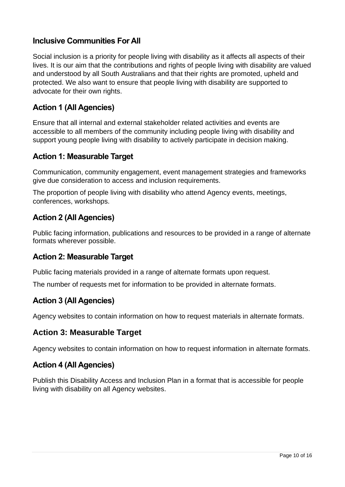## **Inclusive Communities For All**

Social inclusion is a priority for people living with disability as it affects all aspects of their lives. It is our aim that the contributions and rights of people living with disability are valued and understood by all South Australians and that their rights are promoted, upheld and protected. We also want to ensure that people living with disability are supported to advocate for their own rights.

# **Action 1 (All Agencies)**

Ensure that all internal and external stakeholder related activities and events are accessible to all members of the community including people living with disability and support young people living with disability to actively participate in decision making.

### **Action 1: Measurable Target**

Communication, community engagement, event management strategies and frameworks give due consideration to access and inclusion requirements.

The proportion of people living with disability who attend Agency events, meetings, conferences, workshops.

# **Action 2 (All Agencies)**

Public facing information, publications and resources to be provided in a range of alternate formats wherever possible.

#### **Action 2: Measurable Target**

Public facing materials provided in a range of alternate formats upon request.

The number of requests met for information to be provided in alternate formats.

# **Action 3 (All Agencies)**

Agency websites to contain information on how to request materials in alternate formats.

# **Action 3: Measurable Target**

Agency websites to contain information on how to request information in alternate formats.

#### **Action 4 (All Agencies)**

Publish this Disability Access and Inclusion Plan in a format that is accessible for people living with disability on all Agency websites.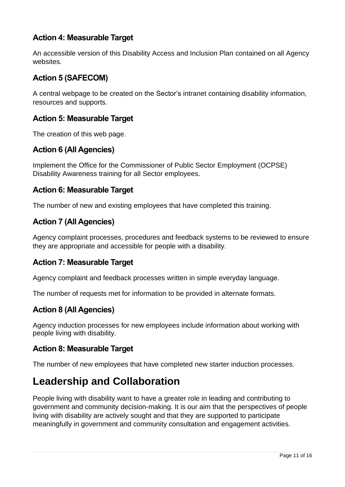# **Action 4: Measurable Target**

An accessible version of this Disability Access and Inclusion Plan contained on all Agency websites.

# **Action 5 (SAFECOM)**

A central webpage to be created on the Sector's intranet containing disability information, resources and supports.

#### **Action 5: Measurable Target**

The creation of this web page.

# **Action 6 (All Agencies)**

Implement the Office for the Commissioner of Public Sector Employment (OCPSE) Disability Awareness training for all Sector employees.

#### **Action 6: Measurable Target**

The number of new and existing employees that have completed this training.

### **Action 7 (All Agencies)**

Agency complaint processes, procedures and feedback systems to be reviewed to ensure they are appropriate and accessible for people with a disability.

#### **Action 7: Measurable Target**

Agency complaint and feedback processes written in simple everyday language.

The number of requests met for information to be provided in alternate formats.

#### **Action 8 (All Agencies)**

Agency induction processes for new employees include information about working with people living with disability.

#### **Action 8: Measurable Target**

The number of new employees that have completed new starter induction processes.

# <span id="page-10-0"></span>**Leadership and Collaboration**

People living with disability want to have a greater role in leading and contributing to government and community decision-making. It is our aim that the perspectives of people living with disability are actively sought and that they are supported to participate meaningfully in government and community consultation and engagement activities.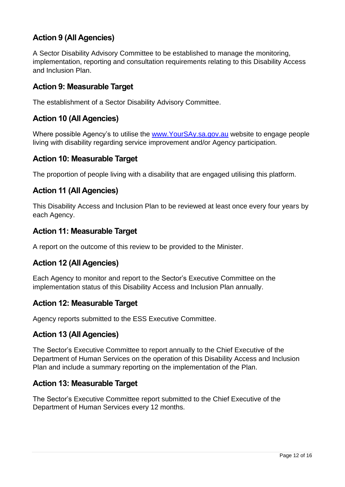# **Action 9 (All Agencies)**

A Sector Disability Advisory Committee to be established to manage the monitoring, implementation, reporting and consultation requirements relating to this Disability Access and Inclusion Plan.

### **Action 9: Measurable Target**

The establishment of a Sector Disability Advisory Committee.

# **Action 10 (All Agencies)**

Where possible Agency's to utilise the [www.YourSAy.sa.gov.au](http://www.yoursay.sa.gov.au/) website to engage people living with disability regarding service improvement and/or Agency participation.

#### **Action 10: Measurable Target**

The proportion of people living with a disability that are engaged utilising this platform.

#### **Action 11 (All Agencies)**

This Disability Access and Inclusion Plan to be reviewed at least once every four years by each Agency.

#### **Action 11: Measurable Target**

A report on the outcome of this review to be provided to the Minister.

#### **Action 12 (All Agencies)**

Each Agency to monitor and report to the Sector's Executive Committee on the implementation status of this Disability Access and Inclusion Plan annually.

#### **Action 12: Measurable Target**

Agency reports submitted to the ESS Executive Committee.

#### **Action 13 (All Agencies)**

The Sector's Executive Committee to report annually to the Chief Executive of the Department of Human Services on the operation of this Disability Access and Inclusion Plan and include a summary reporting on the implementation of the Plan.

#### **Action 13: Measurable Target**

The Sector's Executive Committee report submitted to the Chief Executive of the Department of Human Services every 12 months.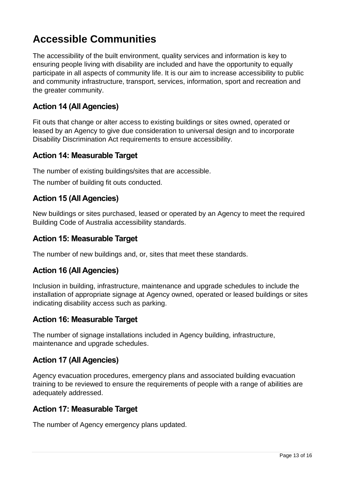# <span id="page-12-0"></span>**Accessible Communities**

The accessibility of the built environment, quality services and information is key to ensuring people living with disability are included and have the opportunity to equally participate in all aspects of community life. It is our aim to increase accessibility to public and community infrastructure, transport, services, information, sport and recreation and the greater community.

### **Action 14 (All Agencies)**

Fit outs that change or alter access to existing buildings or sites owned, operated or leased by an Agency to give due consideration to universal design and to incorporate Disability Discrimination Act requirements to ensure accessibility.

#### **Action 14: Measurable Target**

The number of existing buildings/sites that are accessible.

The number of building fit outs conducted.

#### **Action 15 (All Agencies)**

New buildings or sites purchased, leased or operated by an Agency to meet the required Building Code of Australia accessibility standards.

#### **Action 15: Measurable Target**

The number of new buildings and, or, sites that meet these standards.

#### **Action 16 (All Agencies)**

Inclusion in building, infrastructure, maintenance and upgrade schedules to include the installation of appropriate signage at Agency owned, operated or leased buildings or sites indicating disability access such as parking.

#### **Action 16: Measurable Target**

The number of signage installations included in Agency building, infrastructure, maintenance and upgrade schedules.

#### **Action 17 (All Agencies)**

Agency evacuation procedures, emergency plans and associated building evacuation training to be reviewed to ensure the requirements of people with a range of abilities are adequately addressed.

#### **Action 17: Measurable Target**

The number of Agency emergency plans updated.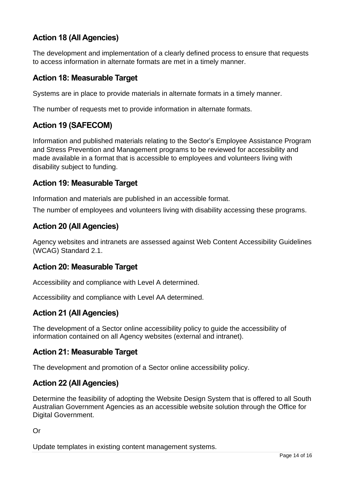# **Action 18 (All Agencies)**

The development and implementation of a clearly defined process to ensure that requests to access information in alternate formats are met in a timely manner.

### **Action 18: Measurable Target**

Systems are in place to provide materials in alternate formats in a timely manner.

The number of requests met to provide information in alternate formats.

# **Action 19 (SAFECOM)**

Information and published materials relating to the Sector's Employee Assistance Program and Stress Prevention and Management programs to be reviewed for accessibility and made available in a format that is accessible to employees and volunteers living with disability subject to funding.

#### **Action 19: Measurable Target**

Information and materials are published in an accessible format.

The number of employees and volunteers living with disability accessing these programs.

### **Action 20 (All Agencies)**

Agency websites and intranets are assessed against Web Content Accessibility Guidelines (WCAG) Standard 2.1.

#### **Action 20: Measurable Target**

Accessibility and compliance with Level A determined.

Accessibility and compliance with Level AA determined.

#### **Action 21 (All Agencies)**

The development of a Sector online accessibility policy to guide the accessibility of information contained on all Agency websites (external and intranet).

#### **Action 21: Measurable Target**

The development and promotion of a Sector online accessibility policy.

#### **Action 22 (All Agencies)**

Determine the feasibility of adopting the Website Design System that is offered to all South Australian Government Agencies as an accessible website solution through the Office for Digital Government.

Or

Update templates in existing content management systems.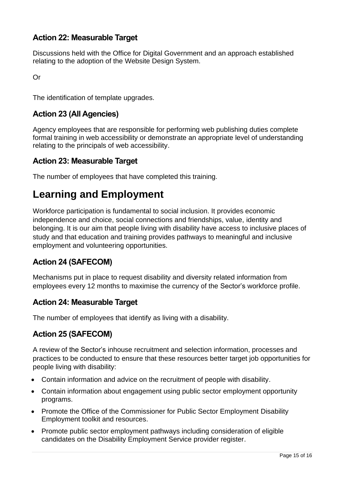# **Action 22: Measurable Target**

Discussions held with the Office for Digital Government and an approach established relating to the adoption of the Website Design System.

Or

The identification of template upgrades.

# **Action 23 (All Agencies)**

Agency employees that are responsible for performing web publishing duties complete formal training in web accessibility or demonstrate an appropriate level of understanding relating to the principals of web accessibility.

### **Action 23: Measurable Target**

The number of employees that have completed this training.

# <span id="page-14-0"></span>**Learning and Employment**

Workforce participation is fundamental to social inclusion. It provides economic independence and choice, social connections and friendships, value, identity and belonging. It is our aim that people living with disability have access to inclusive places of study and that education and training provides pathways to meaningful and inclusive employment and volunteering opportunities.

# **Action 24 (SAFECOM)**

Mechanisms put in place to request disability and diversity related information from employees every 12 months to maximise the currency of the Sector's workforce profile.

#### **Action 24: Measurable Target**

The number of employees that identify as living with a disability.

# **Action 25 (SAFECOM)**

A review of the Sector's inhouse recruitment and selection information, processes and practices to be conducted to ensure that these resources better target job opportunities for people living with disability:

- Contain information and advice on the recruitment of people with disability.
- Contain information about engagement using public sector employment opportunity programs.
- Promote the Office of the Commissioner for Public Sector Employment Disability Employment toolkit and resources.
- Promote public sector employment pathways including consideration of eligible candidates on the Disability Employment Service provider register.